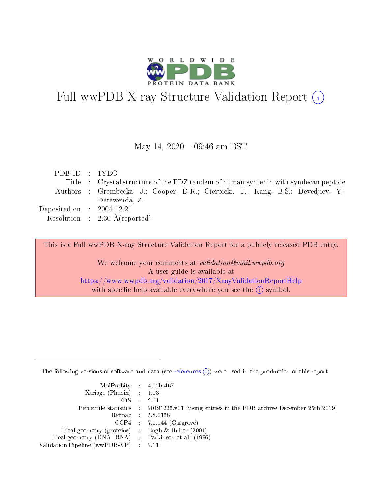

# Full wwPDB X-ray Structure Validation Report (i)

#### May 14,  $2020 - 09:46$  am BST

| PDBID : 1YBO                |                                                                                     |
|-----------------------------|-------------------------------------------------------------------------------------|
|                             | Title : Crystal structure of the PDZ tandem of human syntenin with syndecan peptide |
|                             | Authors : Grembecka, J.; Cooper, D.R.; Cierpicki, T.; Kang, B.S.; Devedjiev, Y.;    |
|                             | Derewenda, Z.                                                                       |
| Deposited on : $2004-12-21$ |                                                                                     |
|                             | Resolution : $2.30 \text{ Å}$ (reported)                                            |

This is a Full wwPDB X-ray Structure Validation Report for a publicly released PDB entry.

We welcome your comments at validation@mail.wwpdb.org A user guide is available at <https://www.wwpdb.org/validation/2017/XrayValidationReportHelp> with specific help available everywhere you see the  $(i)$  symbol.

The following versions of software and data (see [references](https://www.wwpdb.org/validation/2017/XrayValidationReportHelp#references)  $(i)$ ) were used in the production of this report:

| $MolProbability$ 4.02b-467                          |                                                                                            |
|-----------------------------------------------------|--------------------------------------------------------------------------------------------|
| Xtriage (Phenix) $: 1.13$                           |                                                                                            |
| $EDS$ :                                             | -2.11                                                                                      |
|                                                     | Percentile statistics : 20191225.v01 (using entries in the PDB archive December 25th 2019) |
|                                                     | Refmac : 5.8.0158                                                                          |
|                                                     | $CCP4$ : 7.0.044 (Gargrove)                                                                |
| Ideal geometry (proteins) : Engh $\&$ Huber (2001)  |                                                                                            |
| Ideal geometry (DNA, RNA) : Parkinson et al. (1996) |                                                                                            |
| Validation Pipeline (wwPDB-VP)                      | -2.11                                                                                      |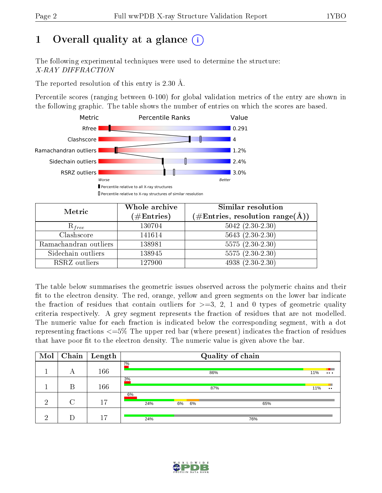# 1 [O](https://www.wwpdb.org/validation/2017/XrayValidationReportHelp#overall_quality)verall quality at a glance  $(i)$

The following experimental techniques were used to determine the structure: X-RAY DIFFRACTION

The reported resolution of this entry is 2.30 Å.

Percentile scores (ranging between 0-100) for global validation metrics of the entry are shown in the following graphic. The table shows the number of entries on which the scores are based.



| Metric                | Whole archive<br>$(\#\text{Entries})$ | Similar resolution<br>$(\#\text{Entries}, \, \text{resolution range}(\textup{\AA}))$ |
|-----------------------|---------------------------------------|--------------------------------------------------------------------------------------|
| $R_{free}$            | 130704                                | $5042$ $(2.30-2.30)$                                                                 |
| Clashscore            | 141614                                | $5643(2.30-2.30)$                                                                    |
| Ramachandran outliers | 138981                                | $\overline{5575 (2.30-2.30)}$                                                        |
| Sidechain outliers    | 138945                                | $5575(2.30-2.30)$                                                                    |
| RSRZ outliers         | 127900                                | $4938(2.30-2.30)$                                                                    |

The table below summarises the geometric issues observed across the polymeric chains and their fit to the electron density. The red, orange, yellow and green segments on the lower bar indicate the fraction of residues that contain outliers for  $>=3, 2, 1$  and 0 types of geometric quality criteria respectively. A grey segment represents the fraction of residues that are not modelled. The numeric value for each fraction is indicated below the corresponding segment, with a dot representing fractions  $\epsilon=5\%$  The upper red bar (where present) indicates the fraction of residues that have poor fit to the electron density. The numeric value is given above the bar.

| Mol      | Chain | $\parallel$ Length |           | Quality of chain |     |                            |  |  |
|----------|-------|--------------------|-----------|------------------|-----|----------------------------|--|--|
|          | А     | 166                | 2%        | 86%              |     | 11%<br>$\cdots$            |  |  |
|          | В     | 166                | 3%        | 87%              |     | 11%<br>$\bullet$ $\bullet$ |  |  |
| റ<br>∠   | C     | 17                 | 6%<br>24% | 6%<br>6%         | 65% |                            |  |  |
| $\Omega$ |       | 17                 | 24%       |                  | 76% |                            |  |  |

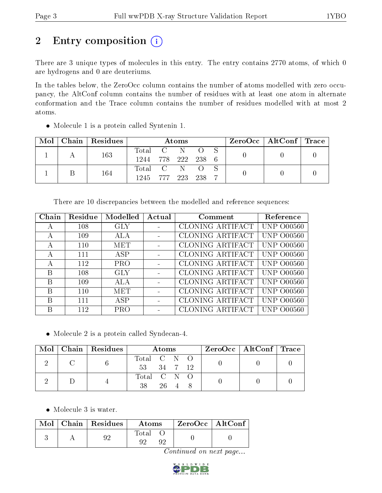# 2 Entry composition (i)

There are 3 unique types of molecules in this entry. The entry contains 2770 atoms, of which 0 are hydrogens and 0 are deuteriums.

In the tables below, the ZeroOcc column contains the number of atoms modelled with zero occupancy, the AltConf column contains the number of residues with at least one atom in alternate conformation and the Trace column contains the number of residues modelled with at most 2 atoms.

| Mol | Chain   Residues | Atoms              |  |  |       |  | ZeroOcc   AltConf   Trace |  |
|-----|------------------|--------------------|--|--|-------|--|---------------------------|--|
|     | 163              | Total C N O S      |  |  |       |  |                           |  |
|     |                  | 1244 778 222 238 6 |  |  |       |  |                           |  |
|     | 164              | Total C N O        |  |  |       |  |                           |  |
|     |                  | 1245 777 223       |  |  | - 238 |  |                           |  |

Molecule 1 is a protein called Syntenin 1.

There are 10 discrepancies between the modelled and reference sequences:

| Chain | Residue | Modelled   | Actual | Comment                 | Reference               |
|-------|---------|------------|--------|-------------------------|-------------------------|
| А     | 108     | GLY        |        | CLONING ARTIFACT        | <b>UNP 000560</b>       |
| А     | 109     | ALA        |        | CLONING ARTIFACT        | UNP.<br>O00560          |
| А     | 110     | MET        |        | CLONING ARTIFACT        | UNP 000560              |
| А     | 111     | ASP        |        | <b>CLONING ARTIFACT</b> | UNP 000560              |
| А     | 112     | <b>PRO</b> |        | CLONING ARTIFACT        | O00560<br>INP.          |
| В     | 108     | GLY        |        | CLONING ARTIFACT        | UNP 000560              |
| B     | 109     | ALA        |        | <b>CLONING ARTIFACT</b> | <b>UNP 000560</b>       |
| B     | 110     | MET        |        | CLONING ARTIFACT        | UNP.<br>O00560          |
| B     | 111     | ASP        |        | CLONING ARTIFACT        | O00560<br>INP<br>$\Box$ |
| B     | 112     | PRO        |        | CLONING ARTIFACT        | 00560<br>+NP.           |

• Molecule 2 is a protein called Syndecan-4.

|  | $Mol$   Chain   Residues | Atoms                                     | $ZeroOcc \   \ AltConf \   \ Trace$ |  |
|--|--------------------------|-------------------------------------------|-------------------------------------|--|
|  |                          | Total C N O<br>53 34 7 12                 |                                     |  |
|  |                          | Total C N O<br>$26 \quad 4 \quad 8$<br>38 |                                     |  |

• Molecule 3 is water.

|  | $\text{Mol}$   Chain   Residues $\textsuperscript{!}$ | Atoms          | $\mid$ ZeroOcc $\mid$ AltConf $\mid$ |  |
|--|-------------------------------------------------------|----------------|--------------------------------------|--|
|  |                                                       | $\text{Total}$ |                                      |  |

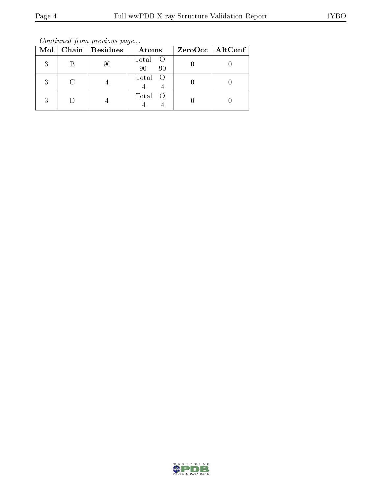Continued from previous page...

| Mol | Chain   Residues | Atoms               | ZeroOcc   AltConf |
|-----|------------------|---------------------|-------------------|
| 2   | 90               | Total O<br>90<br>90 |                   |
| 2   |                  | Total O             |                   |
|     |                  | Total<br>$\bigcirc$ |                   |

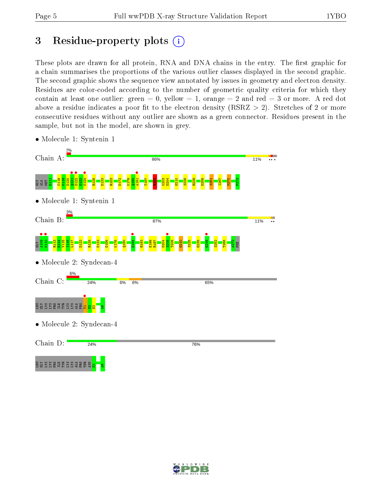# 3 Residue-property plots  $(i)$

These plots are drawn for all protein, RNA and DNA chains in the entry. The first graphic for a chain summarises the proportions of the various outlier classes displayed in the second graphic. The second graphic shows the sequence view annotated by issues in geometry and electron density. Residues are color-coded according to the number of geometric quality criteria for which they contain at least one outlier: green  $= 0$ , yellow  $= 1$ , orange  $= 2$  and red  $= 3$  or more. A red dot above a residue indicates a poor fit to the electron density (RSRZ  $> 2$ ). Stretches of 2 or more consecutive residues without any outlier are shown as a green connector. Residues present in the sample, but not in the model, are shown in grey.



• Molecule 1: Syntenin 1

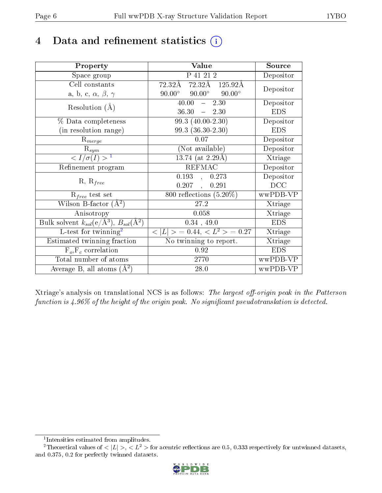## 4 Data and refinement statistics  $(i)$

| Property                                                             | Value                                            | Source                       |
|----------------------------------------------------------------------|--------------------------------------------------|------------------------------|
| Space group                                                          | P 41 21 2                                        | Depositor                    |
| Cell constants                                                       | 72.32Å 72.32Å 125.92Å                            | Depositor                    |
| a, b, c, $\alpha$ , $\beta$ , $\gamma$                               | $90.00^{\circ}$ $90.00^{\circ}$<br>$90.00^\circ$ |                              |
| Resolution $(A)$                                                     | 2.30<br>40.00<br>$\frac{1}{2}$                   | Depositor                    |
|                                                                      | $-2.30$<br>36.30                                 | <b>EDS</b>                   |
| % Data completeness                                                  | 99.3 (40.00-2.30)                                | Depositor                    |
| (in resolution range)                                                | $99.3(36.30-2.30)$                               | <b>EDS</b>                   |
| $R_{merge}$                                                          | 0.07                                             | Depositor                    |
| $R_{sym}$                                                            | (Not available)                                  | Depositor                    |
| $\langle I/\sigma(I) \rangle^{-1}$                                   | $13.74$ (at 2.29Å)                               | Xtriage                      |
| Refinement program                                                   | <b>REFMAC</b>                                    | Depositor                    |
|                                                                      | 0.193, 0.273                                     | Depositor                    |
| $R, R_{free}$                                                        | $0.207$ ,<br>0.291                               | DCC                          |
| $R_{free}$ test set                                                  | 800 reflections $(5.20\%)$                       | wwPDB-VP                     |
| Wilson B-factor $(A^2)$                                              | 27.2                                             | Xtriage                      |
| Anisotropy                                                           | 0.058                                            | Xtriage                      |
| Bulk solvent $k_{sol}(e/\mathring{A}^3)$ , $B_{sol}(\mathring{A}^2)$ | 0.34, 49.0                                       | <b>EDS</b>                   |
| L-test for twinning <sup>2</sup>                                     | $< L >$ = 0.44, $< L2 >$ = 0.27                  | Xtriage                      |
| Estimated twinning fraction                                          | No twinning to report.                           | $\overline{\text{X}}$ triage |
| $\overline{F_o}, \overline{F_c}$ correlation                         | 0.92                                             | <b>EDS</b>                   |
| Total number of atoms                                                | 2770                                             | wwPDB-VP                     |
| Average B, all atoms $(A^2)$                                         | 28.0                                             | wwPDB-VP                     |

Xtriage's analysis on translational NCS is as follows: The largest off-origin peak in the Patterson function is  $4.96\%$  of the height of the origin peak. No significant pseudotranslation is detected.

<sup>&</sup>lt;sup>2</sup>Theoretical values of  $\langle |L| \rangle$ ,  $\langle L^2 \rangle$  for acentric reflections are 0.5, 0.333 respectively for untwinned datasets, and 0.375, 0.2 for perfectly twinned datasets.



<span id="page-5-1"></span><span id="page-5-0"></span><sup>1</sup> Intensities estimated from amplitudes.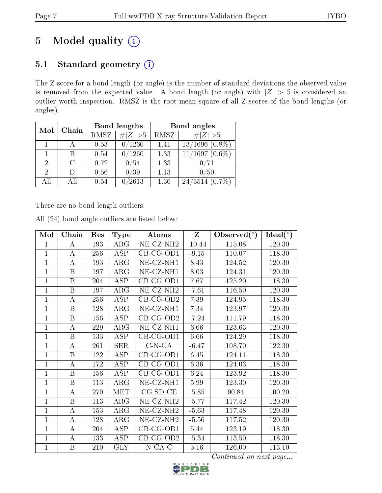# 5 Model quality  $(i)$

### 5.1 Standard geometry (i)

The Z score for a bond length (or angle) is the number of standard deviations the observed value is removed from the expected value. A bond length (or angle) with  $|Z| > 5$  is considered an outlier worth inspection. RMSZ is the root-mean-square of all Z scores of the bond lengths (or angles).

| Mol          | Chain  |      | Bond lengths  | Bond angles |                      |  |
|--------------|--------|------|---------------|-------------|----------------------|--|
|              |        | RMSZ | $\# Z  > 5$   | RMSZ        | # $ Z >5$            |  |
| $\mathbf{1}$ |        | 0.53 | 0/1260        | 1.41        | $13/1696$ $(0.8\%)$  |  |
|              | B      | 0.54 | $\sqrt{1260}$ | 1.33        | $11/1697(0.6\%)$     |  |
| 2            | $\cap$ | 0.72 | 0/54          | 1.33        |                      |  |
| 2            | $\Box$ | 0.56 | 0/39          | 1.13        | 0/50                 |  |
| All          | ΑH     | 0.54 | $^\prime2613$ | 1.36        | 24/3514<br>$(0.7\%)$ |  |

There are no bond length outliers.

|  |  | All (24) bond angle outliers are listed below: |  |  |
|--|--|------------------------------------------------|--|--|
|  |  |                                                |  |  |

| Mol            | Chain                   | Res | <b>Type</b>             | Atoms                 | $\mathbf{Z}$ | Observed $(°)$ | Ideal $(°)$ |
|----------------|-------------------------|-----|-------------------------|-----------------------|--------------|----------------|-------------|
| 1              | А                       | 193 | $\rm{ARG}$              | NE-CZ-NH <sub>2</sub> | $-10.44$     | 115.08         | 120.30      |
| $\mathbf 1$    | А                       | 256 | <b>ASP</b>              | $CB-CG-OD1$           | $-9.15$      | 110.07         | 118.30      |
| $\mathbf 1$    | A                       | 193 | ARG                     | $NE- CZ-NH1$          | 8.43         | 124.52         | 120.30      |
| $\mathbf 1$    | B                       | 197 | $\rm{ARG}$              | NE-CZ-NH1             | 8.03         | 124.31         | 120.30      |
| 1              | B                       | 204 | <b>ASP</b>              | $CB-CG-OD1$           | 7.67         | 125.20         | 118.30      |
| $\mathbf{1}$   | B                       | 197 | $\rm{ARG}$              | NE-CZ-NH <sub>2</sub> | $-7.61$      | 116.50         | 120.30      |
| 1              | $\bf{A}$                | 256 | <b>ASP</b>              | $CB-CG-OD2$           | 7.39         | 124.95         | 118.30      |
| $\mathbf{1}$   | $\boldsymbol{B}$        | 128 | ARG                     | NE-CZ-NH1             | 7.34         | 123.97         | 120.30      |
| 1              | B                       | 156 | <b>ASP</b>              | $CB-CG-OD2$           | $-7.24$      | 111.79         | 118.30      |
| $\mathbf{1}$   | А                       | 229 | $\rm{ARG}$              | NE-CZ-NH1             | 6.66         | 123.63         | 120.30      |
| $\mathbf{1}$   | B                       | 133 | <b>ASP</b>              | $CB-CG-OD1$           | 6.66         | 124.29         | 118.30      |
| $\overline{1}$ | А                       | 261 | <b>SER</b>              | $C-N-CA$              | $-6.47$      | 108.70         | 122.30      |
| $\mathbf 1$    | B                       | 122 | $\overline{\text{ASP}}$ | $CB-CG-OD1$           | 6.45         | 124.11         | 118.30      |
| $\mathbf{1}$   | $\bf{A}$                | 172 | <b>ASP</b>              | $CB-CG-OD1$           | 6.36         | 124.03         | 118.30      |
| $\mathbf 1$    | $\overline{\mathrm{B}}$ | 156 | $\overline{\text{ASP}}$ | CB-CG-OD1             | 6.24         | 123.92         | 118.30      |
| $\mathbf 1$    | B                       | 113 | ARG                     | $NE- CZ-NH1$          | 5.99         | 123.30         | 120.30      |
| 1              | $\boldsymbol{A}$        | 270 | <b>MET</b>              | $CG-SD-CE$            | $-5.85$      | 90.84          | 100.20      |
| $\overline{1}$ | B                       | 113 | ARG                     | NE-CZ-NH <sub>2</sub> | $-5.77$      | 117.42         | 120.30      |
| $\mathbf 1$    | $\overline{A}$          | 153 | $\rm{ARG}$              | NE-CZ-NH <sub>2</sub> | $-5.63$      | 117.48         | 120.30      |
| $\mathbf{1}$   | A                       | 128 | $\rm{ARG}$              | NE-CZ-NH <sub>2</sub> | $-5.56$      | 117.52         | 120.30      |
| $\mathbf 1$    | А                       | 204 | <b>ASP</b>              | CB-CG-OD1             | 5.44         | 123.19         | 118.30      |
| 1              | A                       | 133 | <b>ASP</b>              | $CB-CG-OD2$           | $-5.34$      | 113.50         | 118.30      |
| $\mathbf 1$    | B                       | 210 | <b>GLY</b>              | $N$ -CA-C             | 5.16         | 126.00         | 113.10      |

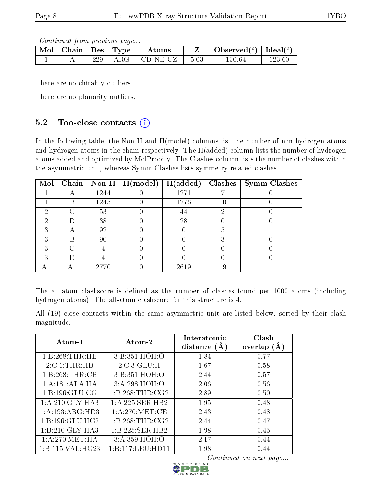Continued from previous page...

| Mol | Chain | $\vert$ Res $\vert$ | $\mathbf{T}_{\mathbf{Y}\mathbf{P}}$ | Atoms       |      | Observed $(°)$ | Ideal $(°)$ |
|-----|-------|---------------------|-------------------------------------|-------------|------|----------------|-------------|
|     |       | 229                 | $\rm{ARG}$                          | $CD-NE- CZ$ | 5.03 | $130.64\,$     | 123.60      |

There are no chirality outliers.

There are no planarity outliers.

### 5.2 Too-close contacts  $(i)$

In the following table, the Non-H and H(model) columns list the number of non-hydrogen atoms and hydrogen atoms in the chain respectively. The H(added) column lists the number of hydrogen atoms added and optimized by MolProbity. The Clashes column lists the number of clashes within the asymmetric unit, whereas Symm-Clashes lists symmetry related clashes.

| Mol |                    |      | $\boxed{\text{Chain}}$   Non-H   H(model) | H(added) | Clashes | <b>Symm-Clashes</b> |
|-----|--------------------|------|-------------------------------------------|----------|---------|---------------------|
|     |                    | 1244 |                                           | 1271     |         |                     |
|     | R                  | 1245 |                                           | 1276     | 10      |                     |
| 2   | $\curvearrowright$ | 53   |                                           | 44       |         |                     |
| 2   |                    | 38   |                                           | 28       |         |                     |
| २   |                    | 92   |                                           |          |         |                     |
| 3   | R                  | 90   |                                           |          |         |                     |
| 3   |                    |      |                                           |          |         |                     |
| 3   |                    |      |                                           |          |         |                     |
|     |                    | 2770 |                                           | 2619     | 19      |                     |

The all-atom clashscore is defined as the number of clashes found per 1000 atoms (including hydrogen atoms). The all-atom clashscore for this structure is 4.

All (19) close contacts within the same asymmetric unit are listed below, sorted by their clash magnitude.

| Atom-1              | Atom-2           | Interatomic<br>distance $(A)$ | Clash<br>overlap $(A)$ |
|---------------------|------------------|-------------------------------|------------------------|
| 1:B:268:THR:HB      | 3:B:351:HOH:O    | 1.84                          | 0.77                   |
| 2:C:1:THR:HB        | 2:C:3:GLU:H      | 1.67                          | 0.58                   |
| 1:B:268:THR:CB      | 3:B:351:HOH:O    | 2.44                          | 0.57                   |
| 1:A:181:ALA:HA      | 3:A:298:HOH:O    | 2.06                          | 0.56                   |
| 1: B: 196: GLU: CG  | 1:B:268:THR:CG2  | 2.89                          | 0.50                   |
| 1: A:210: GLY:HA3   | 1:A:225:SER:HB2  | 1.95                          | 0.48                   |
| 1: A: 193: ARG: HD3 | 1: A:270:MET:CE  | 2.43                          | 0.48                   |
| 1: B: 196: GLU: HG2 | 1:B:268:THR:CG2  | 2.44                          | 0.47                   |
| 1:B:210:GLY:HA3     | 1:B:225:SER:HB2  | 1.98                          | 0.45                   |
| 1: A:270: MET:HA    | 3: A:359:HOH:O   | 2.17                          | 0.44                   |
| 1:B:115:VAL:H G23   | 1:B:117:LEU:HDI1 | 1.98                          | 0.44                   |

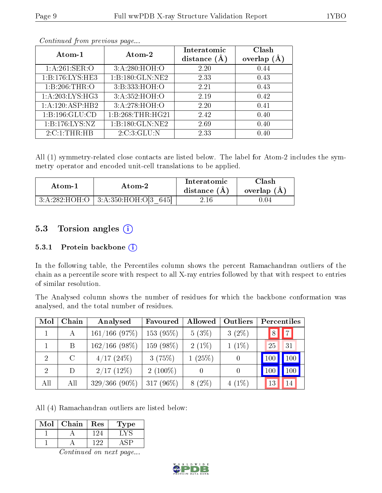| Atom-1             | Atom-2             | Interatomic<br>distance $(A)$ | Clash<br>(A)<br>overlap |
|--------------------|--------------------|-------------------------------|-------------------------|
| 1: A:261:SER:O     | 3:A:280:HOH:O      | 2.20                          | 0.44                    |
| 1:B:176:LYS:HE3    | 1: B:180: GLN: NE2 | 2.33                          | 0.43                    |
| 1:B:206:THR:O      | 3:B:333:HOH:O      | 2.21                          | 0.43                    |
| 1:A:203:LYS:HG3    | 3:A:352:HOH:O      | 2.19                          | 0.42                    |
| 1:A:120:ASP:HB2    | 3:A:278:HOH:O      | 2.20                          | 0.41                    |
| 1:B:196:GLU:CD     | 1:B:268:THR:HG21   | 2.42                          | 0.40                    |
| 1: B: 176: LYS: NZ | 1:B:180:GLN:NE2    | 2.69                          | 0.40                    |
| 2:C:1:THR:HB       | 2:C:3:GLU:N        | 2.33                          | 0.40                    |

Continued from previous page...

All (1) symmetry-related close contacts are listed below. The label for Atom-2 includes the symmetry operator and encoded unit-cell translations to be applied.

| Atom-1 | Atom-2                                       | Interatomic<br>distance $(A)$ | Clash<br>overlap $(A)$ |  |
|--------|----------------------------------------------|-------------------------------|------------------------|--|
|        | $3:A:282:HOH:O$   $3:A:350:HOH:O[3]$<br>6451 |                               | $^{\circ}.04$          |  |

### 5.3 Torsion angles (i)

#### 5.3.1 Protein backbone (i)

In the following table, the Percentiles column shows the percent Ramachandran outliers of the chain as a percentile score with respect to all X-ray entries followed by that with respect to entries of similar resolution.

The Analysed column shows the number of residues for which the backbone conformation was analysed, and the total number of residues.

| Mol | Chain   | Analysed         | Favoured     | Allowed  | <b>Outliers</b>  | Percentiles |
|-----|---------|------------------|--------------|----------|------------------|-------------|
|     | А       | $161/166$ (97\%) | 153(95%)     | $5(3\%)$ | $3(2\%)$         | 7 <br>8     |
|     | B       | $162/166$ (98%)  | 159 (98%)    | $2(1\%)$ | $1(1\%)$         | 31<br>25    |
| 2   | $\rm C$ | $4/17(24\%)$     | 3(75%)       | 1(25%)   | $\left( \right)$ | 100         |
| 2   | D       | $2/17$ (12%)     | $2(100\%)$   |          | $\left( \right)$ | 100<br>-100 |
| All | All     | $329/366(90\%)$  | 317 $(96\%)$ | $8(2\%)$ | $4(1\%)$         | 14<br>13    |

All (4) Ramachandran outliers are listed below:

| Mol | Chain | $\operatorname{Res}% \left( \mathcal{N}\right) \equiv\operatorname{Res}(\mathcal{N}_{0})\cap\mathcal{N}_{1}$ | 1'ype |
|-----|-------|--------------------------------------------------------------------------------------------------------------|-------|
|     |       | 124                                                                                                          |       |
|     |       | 199                                                                                                          |       |

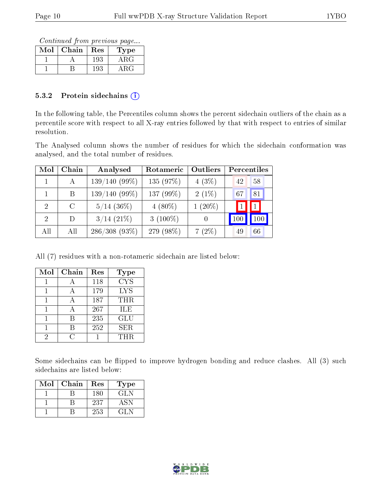Continued from previous page...

| Mol | ${\rm Chain}$ | Res | Type  |
|-----|---------------|-----|-------|
|     |               | 193 | A R.G |
|     |               | 192 | 1 R G |

#### 5.3.2 Protein sidechains  $(i)$

In the following table, the Percentiles column shows the percent sidechain outliers of the chain as a percentile score with respect to all X-ray entries followed by that with respect to entries of similar resolution.

The Analysed column shows the number of residues for which the sidechain conformation was analysed, and the total number of residues.

| Mol                         | Chain   | Analysed        | Rotameric   | Outliers  | Percentiles     |     |
|-----------------------------|---------|-----------------|-------------|-----------|-----------------|-----|
|                             | А       | $139/140(99\%)$ | 135 (97%)   | $4(3\%)$  | 42              | 58  |
|                             | B       | $139/140(99\%)$ | 137 (99%)   | $2(1\%)$  | 67              | 81  |
| $\overline{2}$              | $\rm C$ | $5/14$ (36%)    | $4(80\%)$   | $1(20\%)$ |                 | 1   |
| $\mathcal{D}_{\mathcal{L}}$ | D.      | $3/14$ $(21\%)$ | 3 $(100\%)$ |           | 10 <sup>°</sup> | 100 |
| All                         | All     | $286/308(93\%)$ | 279 (98%)   | $7(2\%)$  | 49              | 66  |

All (7) residues with a non-rotameric sidechain are listed below:

| Mol | Chain        | Res | Type       |
|-----|--------------|-----|------------|
|     |              | 118 | <b>CYS</b> |
|     |              | 179 | <b>LYS</b> |
|     |              | 187 | THR        |
|     | $\mathsf{A}$ | 267 | <b>ILE</b> |
|     | В            | 235 | GLU        |
|     |              | 252 | <b>SER</b> |
| 2   |              |     | THR        |

Some sidechains can be flipped to improve hydrogen bonding and reduce clashes. All (3) such sidechains are listed below:

| Mol | Chain | Res | Type |
|-----|-------|-----|------|
|     |       | 180 | GL N |
|     |       | 237 | ASN  |
|     |       | 253 | GL N |

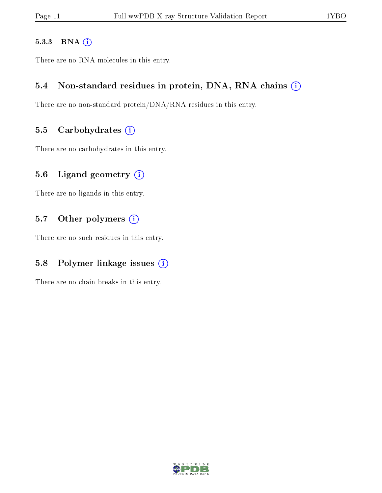#### 5.3.3 RNA [O](https://www.wwpdb.org/validation/2017/XrayValidationReportHelp#rna)i

There are no RNA molecules in this entry.

#### 5.4 Non-standard residues in protein, DNA, RNA chains (i)

There are no non-standard protein/DNA/RNA residues in this entry.

#### 5.5 Carbohydrates  $(i)$

There are no carbohydrates in this entry.

#### 5.6 Ligand geometry  $(i)$

There are no ligands in this entry.

#### 5.7 [O](https://www.wwpdb.org/validation/2017/XrayValidationReportHelp#nonstandard_residues_and_ligands)ther polymers (i)

There are no such residues in this entry.

### 5.8 Polymer linkage issues  $(i)$

There are no chain breaks in this entry.

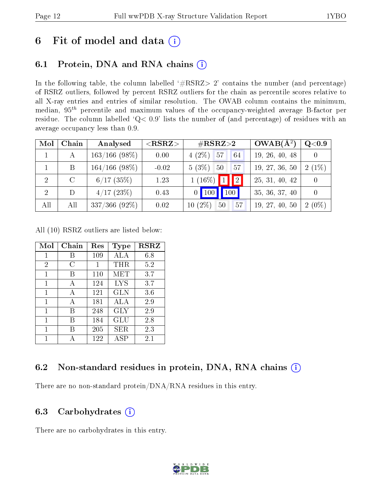## 6 Fit of model and data  $(i)$

## 6.1 Protein, DNA and RNA chains  $(i)$

In the following table, the column labelled  $#RSRZ> 2'$  contains the number (and percentage) of RSRZ outliers, followed by percent RSRZ outliers for the chain as percentile scores relative to all X-ray entries and entries of similar resolution. The OWAB column contains the minimum, median,  $95<sup>th</sup>$  percentile and maximum values of the occupancy-weighted average B-factor per residue. The column labelled ' $Q< 0.9$ ' lists the number of (and percentage) of residues with an average occupancy less than 0.9.

| Mol            | Chain         | Analysed         | $<$ RSRZ $>$ | $\#\text{RSRZ}{>}2$                    | $OWAB(A^2)$    | Q <sub>0.9</sub> |
|----------------|---------------|------------------|--------------|----------------------------------------|----------------|------------------|
|                | A             | $163/166$ (98\%) | 0.00         | $4(2\%)$ 57<br>64                      | 19, 26, 40, 48 |                  |
|                | B             | $164/166$ (98\%) | $-0.02$      | 5(3%)<br>50<br>57                      | 19, 27, 36, 50 | $2(1\%)$         |
| $\overline{2}$ | $\mathcal{C}$ | $6/17$ (35%)     | 1.23         | $1(16\%)$ 1 2                          | 25, 31, 40, 42 |                  |
| $\overline{2}$ | D             | 4/17(23%)        | 0.43         | $\vert$ 100<br>$0$   100               | 35, 36, 37, 40 |                  |
| All            | All           | $337/366$ (92\%) | 0.02         | $(2\%)$<br>50<br>57<br>10 <sup>1</sup> | 19, 27, 40, 50 | $2(0\%)$         |

All (10) RSRZ outliers are listed below:

| Mol            | Chain | Res | Type       | $_{\rm RSRZ}$ |
|----------------|-------|-----|------------|---------------|
| 1              |       | 109 | ALA        | 6.8           |
| $\overline{2}$ | C     | 1   | THR        | 5.2           |
| 1              | В     | 110 | MET        | 3.7           |
| 1              | А     | 124 | <b>LYS</b> | 3.7           |
| 1              | A     | 121 | <b>GLN</b> | 3.6           |
| 1              | А     | 181 | ALA        | 2.9           |
| 1              | R     | 248 | <b>GLY</b> | 2.9           |
| 1              | В     | 184 | GLU        | 2.8           |
| 1              | В     | 205 | SER.       | 2.3           |
| 1              |       | 122 | ASP        | 2.1           |

### 6.2 Non-standard residues in protein, DNA, RNA chains  $(i)$

There are no non-standard protein/DNA/RNA residues in this entry.

#### 6.3 Carbohydrates  $(i)$

There are no carbohydrates in this entry.